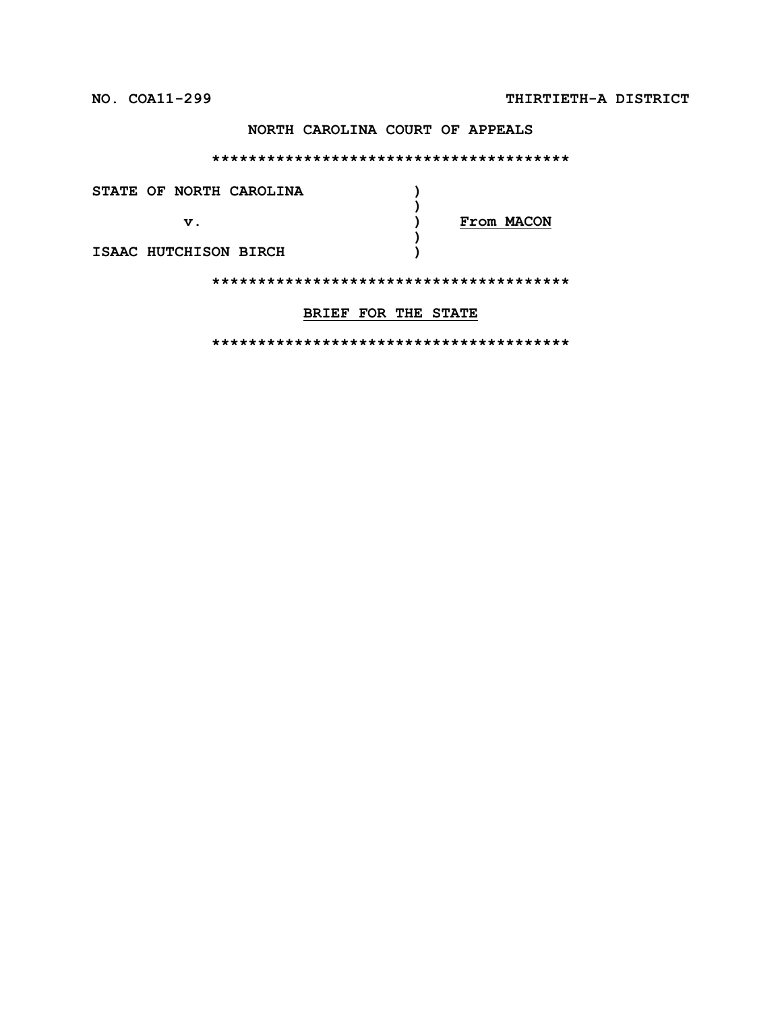## **NORTH CAROLINA COURT OF APPEALS**

#### **\*\*\*\*\*\*\*\*\*\*\*\*\*\*\*\*\*\*\*\*\*\*\*\*\*\*\*\*\*\*\*\*\*\*\*\*\*\*\***

| STATE OF NORTH CAROLINA |            |
|-------------------------|------------|
| $\mathbf v$ .           | From MACON |
| ISAAC HUTCHISON BIRCH   |            |
|                         |            |

## **BRIEF FOR THE STATE**

**\*\*\*\*\*\*\*\*\*\*\*\*\*\*\*\*\*\*\*\*\*\*\*\*\*\*\*\*\*\*\*\*\*\*\*\*\*\*\***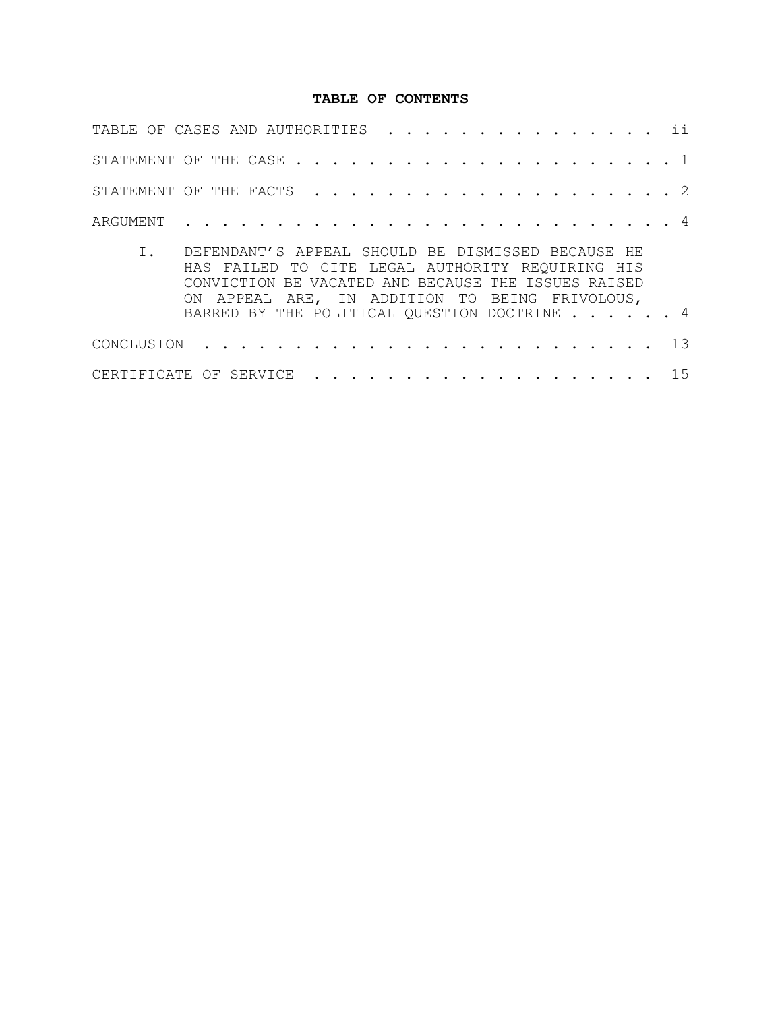## **TABLE OF CONTENTS**

| TABLE OF CASES AND AUTHORITIES ii                      |  |  |  |  |  |  |  |  |  |  |  |  |  |
|--------------------------------------------------------|--|--|--|--|--|--|--|--|--|--|--|--|--|
|                                                        |  |  |  |  |  |  |  |  |  |  |  |  |  |
|                                                        |  |  |  |  |  |  |  |  |  |  |  |  |  |
|                                                        |  |  |  |  |  |  |  |  |  |  |  |  |  |
| T – DECAINANT ON TALLE CUOUIL DE DICMICCED DECAIICE UE |  |  |  |  |  |  |  |  |  |  |  |  |  |

| I. DEFENDANT'S APPEAL SHOULD BE DISMISSED BECAUSE HE |
|------------------------------------------------------|
| HAS FAILED TO CITE LEGAL AUTHORITY REQUIRING HIS     |
| CONVICTION BE VACATED AND BECAUSE THE ISSUES RAISED  |
| ON APPEAL ARE, IN ADDITION TO BEING FRIVOLOUS,       |
| BARRED BY THE POLITICAL QUESTION DOCTRINE 4          |
|                                                      |
|                                                      |

| CERTIFICATE OF SERVICE 15 |  |  |  |  |  |  |  |  |  |  |  |  |  |  |  |  |  |  |  |  |  |  |  |  |
|---------------------------|--|--|--|--|--|--|--|--|--|--|--|--|--|--|--|--|--|--|--|--|--|--|--|--|
|---------------------------|--|--|--|--|--|--|--|--|--|--|--|--|--|--|--|--|--|--|--|--|--|--|--|--|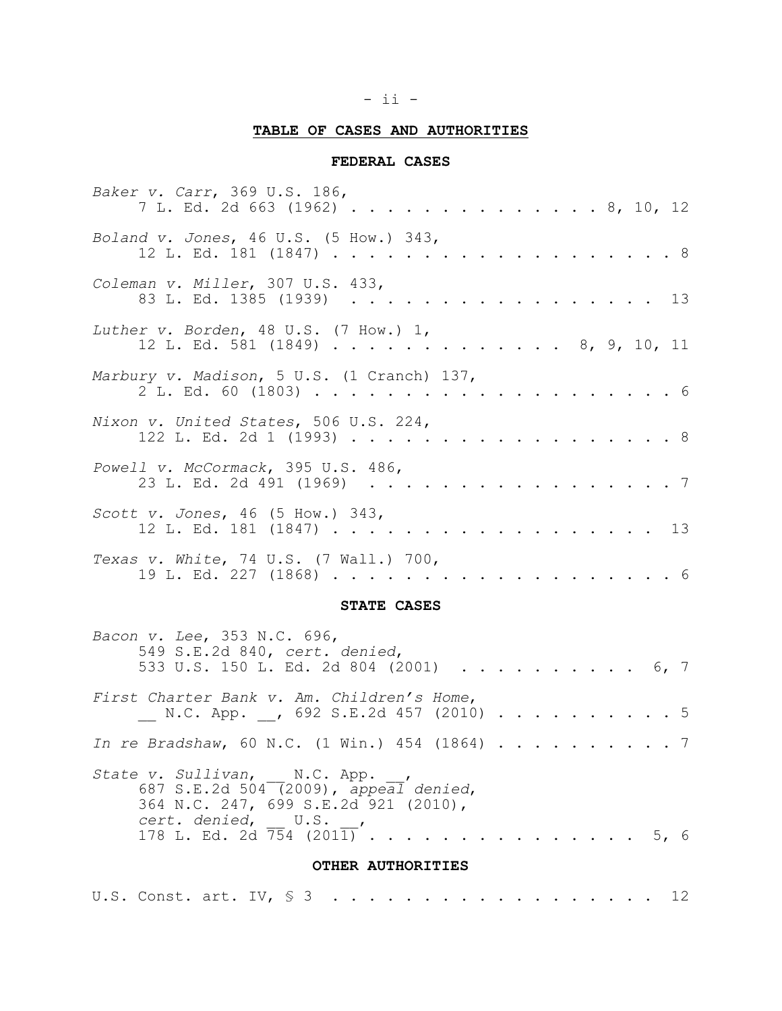## - ii -

## **TABLE OF CASES AND AUTHORITIES**

## **FEDERAL CASES**

| Baker v. Carr, 369 U.S. 186,<br>7 L. Ed. 2d 663 (1962) 8, 10, 12           |  |
|----------------------------------------------------------------------------|--|
| Boland v. Jones, 46 U.S. (5 How.) 343,<br>12 L. Ed. 181 (1847) 8           |  |
| Coleman v. Miller, 307 U.S. 433,<br>83 L. Ed. 1385 (1939) 13               |  |
| Luther v. Borden, 48 U.S. (7 How.) 1,<br>12 L. Ed. 581 (1849) 8, 9, 10, 11 |  |
| Marbury v. Madison, 5 U.S. (1 Cranch) 137,                                 |  |
| Nixon v. United States, 506 U.S. 224,<br>122 L. Ed. 2d 1 (1993) 8          |  |
| Powell v. McCormack, 395 U.S. 486,<br>23 L. Ed. 2d 491 (1969) 7            |  |
| Scott v. Jones, $46$ (5 How.) $343$ ,<br>12 L. Ed. 181 (1847) 13           |  |
| Texas v. White, 74 U.S. (7 Wall.) 700,                                     |  |

## **STATE CASES**

| Bacon v. Lee, 353 N.C. 696,<br>549 S.E.2d 840, cert. denied,<br>533 U.S. 150 L. Ed. 2d 804 (2001) 6, 7                                                                             |  |  |  |  |  |
|------------------------------------------------------------------------------------------------------------------------------------------------------------------------------------|--|--|--|--|--|
| First Charter Bank v. Am. Children's Home,<br>N.C. App. , 692 S.E.2d 457 (2010) 5                                                                                                  |  |  |  |  |  |
| In re Bradshaw, 60 N.C. (1 Win.) 454 (1864) 7                                                                                                                                      |  |  |  |  |  |
| State v. Sullivan, N.C. App.,<br>687 S.E.2d 504 (2009), appeal denied,<br>364 N.C. 247, 699 S.E.2d 921 (2010),<br>cert. denied, U.S.,<br>178 L. Ed. 2d $\overline{754}$ (2011)5, 6 |  |  |  |  |  |
| OTHER AUTHORITIES                                                                                                                                                                  |  |  |  |  |  |

|  | U.S. Const. art. IV, $\frac{1}{5}$ 3 12 |  |  |  |  |  |  |  |  |  |  |  |  |  |  |  |  |  |  |  |  |  |  |  |  |
|--|-----------------------------------------|--|--|--|--|--|--|--|--|--|--|--|--|--|--|--|--|--|--|--|--|--|--|--|--|
|--|-----------------------------------------|--|--|--|--|--|--|--|--|--|--|--|--|--|--|--|--|--|--|--|--|--|--|--|--|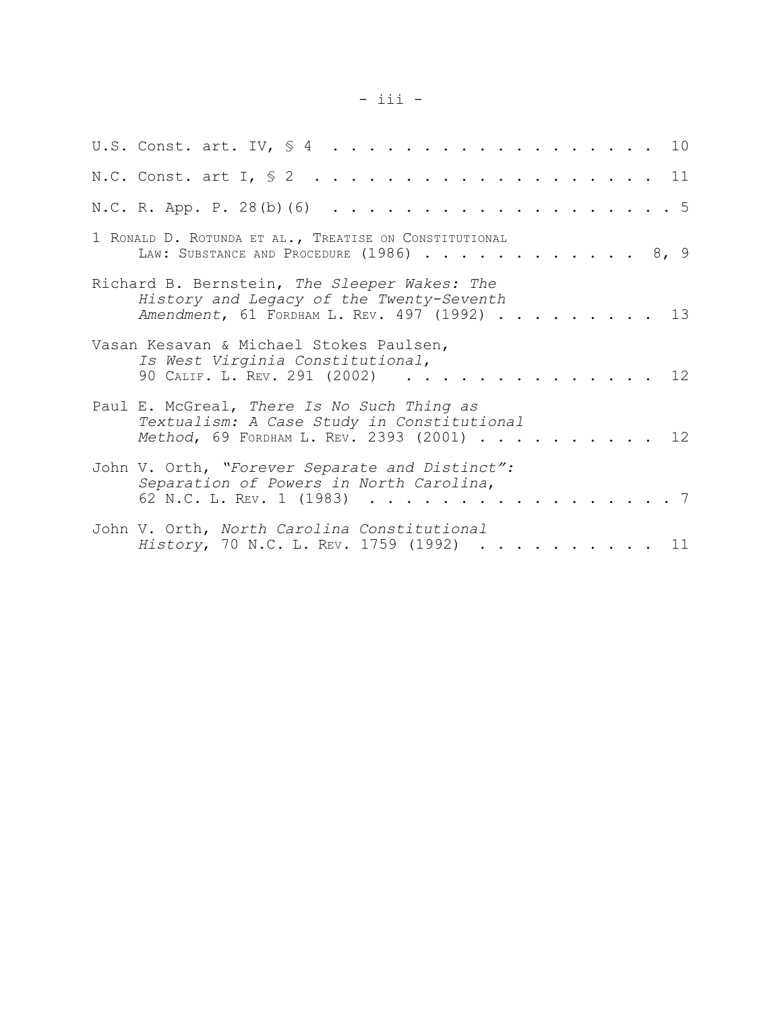# - iii -

| U.S. Const. art. IV, $\frac{1}{2}$ 10                                                                                                |  |  |  |  |  |  |  |  |  |  |             |
|--------------------------------------------------------------------------------------------------------------------------------------|--|--|--|--|--|--|--|--|--|--|-------------|
| N.C. Const. art I, $\frac{1}{2}$ 11                                                                                                  |  |  |  |  |  |  |  |  |  |  |             |
| N.C. R. App. P. 28(b) (6) 5                                                                                                          |  |  |  |  |  |  |  |  |  |  |             |
| 1 RONALD D. ROTUNDA ET AL., TREATISE ON CONSTITUTIONAL<br>LAW: SUBSTANCE AND PROCEDURE (1986) 8, 9                                   |  |  |  |  |  |  |  |  |  |  |             |
| Richard B. Bernstein, The Sleeper Wakes: The<br>History and Legacy of the Twenty-Seventh<br>Amendment, 61 FORDHAM L. REV. 497 (1992) |  |  |  |  |  |  |  |  |  |  | 13          |
| Vasan Kesavan & Michael Stokes Paulsen,<br>Is West Virginia Constitutional,<br>90 CALIF. L. REV. 291 (2002).                         |  |  |  |  |  |  |  |  |  |  | $\cdots$ 12 |
| Paul E. McGreal, There Is No Such Thing as<br>Textualism: A Case Study in Constitutional<br>Method, 69 FORDHAM L. REV. 2393 (2001)   |  |  |  |  |  |  |  |  |  |  | . 12        |
| John V. Orth, "Forever Separate and Distinct":<br>Separation of Powers in North Carolina,<br>62 N.C. L. REV. 1 (1983)                |  |  |  |  |  |  |  |  |  |  | . 7         |
| John V. Orth, North Carolina Constitutional<br>History, 70 N.C. L. REV. 1759 (1992) 11                                               |  |  |  |  |  |  |  |  |  |  |             |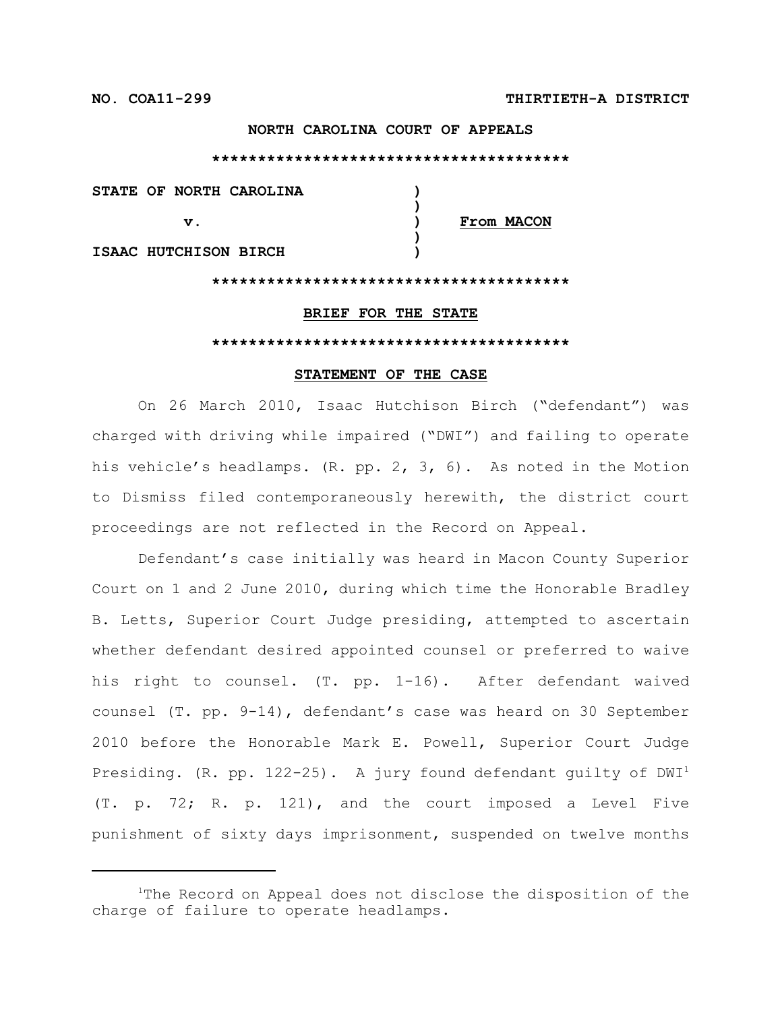## **NORTH CAROLINA COURT OF APPEALS**

#### **\*\*\*\*\*\*\*\*\*\*\*\*\*\*\*\*\*\*\*\*\*\*\*\*\*\*\*\*\*\*\*\*\*\*\*\*\*\*\***

| STATE OF NORTH CAROLINA |  |            |
|-------------------------|--|------------|
| V.                      |  | From MACON |
| ISAAC HUTCHISON BIRCH   |  |            |
|                         |  |            |

#### **BRIEF FOR THE STATE**

#### **\*\*\*\*\*\*\*\*\*\*\*\*\*\*\*\*\*\*\*\*\*\*\*\*\*\*\*\*\*\*\*\*\*\*\*\*\*\*\***

#### **STATEMENT OF THE CASE**

On 26 March 2010, Isaac Hutchison Birch ("defendant") was charged with driving while impaired ("DWI") and failing to operate his vehicle's headlamps. (R. pp. 2, 3, 6). As noted in the Motion to Dismiss filed contemporaneously herewith, the district court proceedings are not reflected in the Record on Appeal.

Defendant's case initially was heard in Macon County Superior Court on 1 and 2 June 2010, during which time the Honorable Bradley B. Letts, Superior Court Judge presiding, attempted to ascertain whether defendant desired appointed counsel or preferred to waive his right to counsel. (T. pp. 1-16). After defendant waived counsel (T. pp. 9-14), defendant's case was heard on 30 September 2010 before the Honorable Mark E. Powell, Superior Court Judge Presiding. (R. pp. 122-25). A jury found defendant quilty of  $DWI<sup>1</sup>$ (T. p. 72; R. p. 121), and the court imposed a Level Five punishment of sixty days imprisonment, suspended on twelve months

 $1$ The Record on Appeal does not disclose the disposition of the charge of failure to operate headlamps.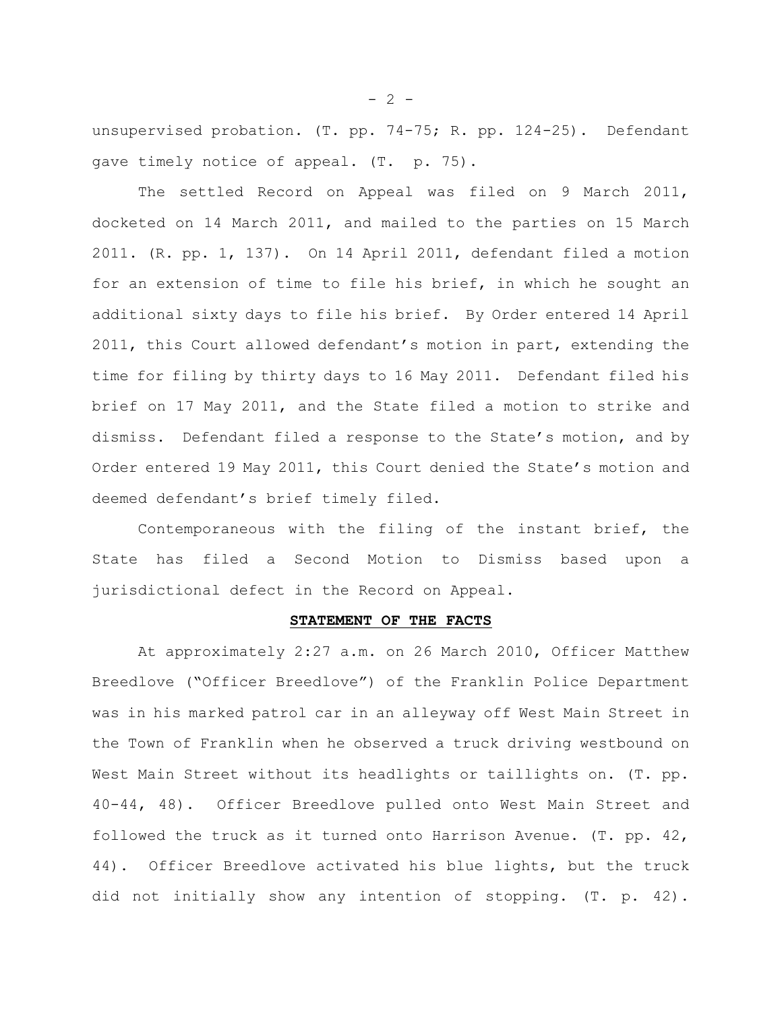unsupervised probation. (T. pp. 74-75; R. pp. 124-25). Defendant gave timely notice of appeal. (T. p. 75).

The settled Record on Appeal was filed on 9 March 2011, docketed on 14 March 2011, and mailed to the parties on 15 March 2011. (R. pp. 1, 137). On 14 April 2011, defendant filed a motion for an extension of time to file his brief, in which he sought an additional sixty days to file his brief. By Order entered 14 April 2011, this Court allowed defendant's motion in part, extending the time for filing by thirty days to 16 May 2011. Defendant filed his brief on 17 May 2011, and the State filed a motion to strike and dismiss. Defendant filed a response to the State's motion, and by Order entered 19 May 2011, this Court denied the State's motion and deemed defendant's brief timely filed.

Contemporaneous with the filing of the instant brief, the State has filed a Second Motion to Dismiss based upon a jurisdictional defect in the Record on Appeal.

### **STATEMENT OF THE FACTS**

At approximately 2:27 a.m. on 26 March 2010, Officer Matthew Breedlove ("Officer Breedlove") of the Franklin Police Department was in his marked patrol car in an alleyway off West Main Street in the Town of Franklin when he observed a truck driving westbound on West Main Street without its headlights or taillights on. (T. pp. 40-44, 48). Officer Breedlove pulled onto West Main Street and followed the truck as it turned onto Harrison Avenue. (T. pp. 42, 44). Officer Breedlove activated his blue lights, but the truck did not initially show any intention of stopping. (T. p. 42).

 $- 2 -$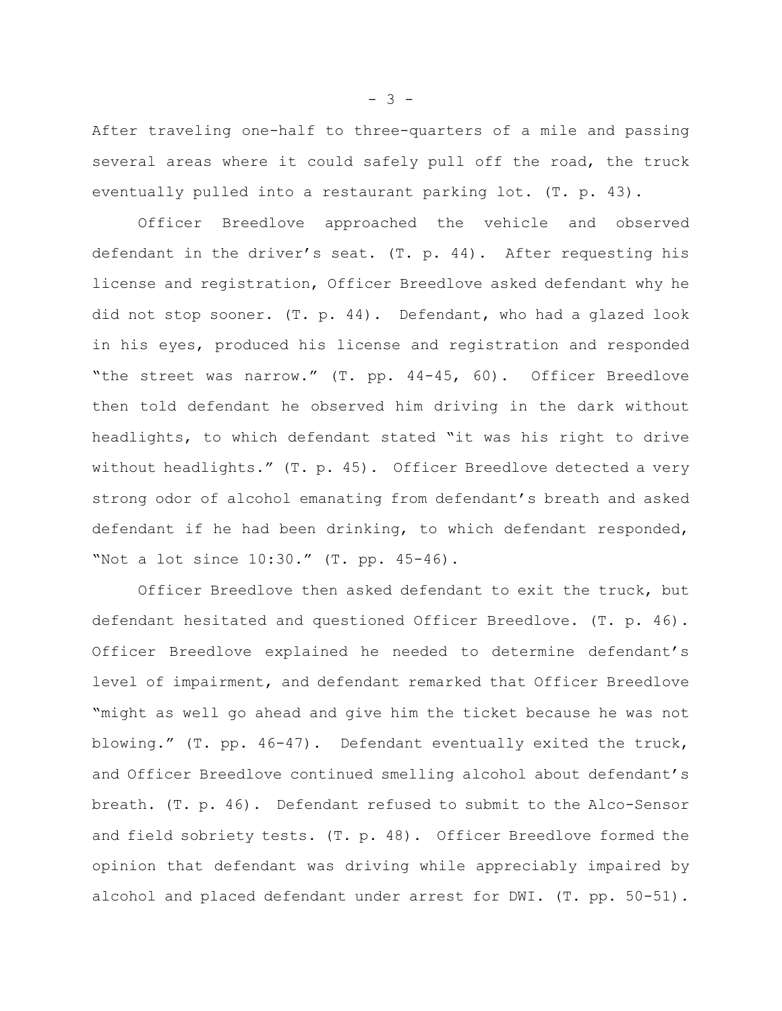After traveling one-half to three-quarters of a mile and passing several areas where it could safely pull off the road, the truck eventually pulled into a restaurant parking lot. (T. p. 43).

Officer Breedlove approached the vehicle and observed defendant in the driver's seat. (T. p. 44). After requesting his license and registration, Officer Breedlove asked defendant why he did not stop sooner. (T. p. 44). Defendant, who had a glazed look in his eyes, produced his license and registration and responded "the street was narrow." (T. pp. 44-45, 60). Officer Breedlove then told defendant he observed him driving in the dark without headlights, to which defendant stated "it was his right to drive without headlights." (T. p. 45). Officer Breedlove detected a very strong odor of alcohol emanating from defendant's breath and asked defendant if he had been drinking, to which defendant responded, "Not a lot since 10:30." (T. pp. 45-46).

Officer Breedlove then asked defendant to exit the truck, but defendant hesitated and questioned Officer Breedlove. (T. p. 46). Officer Breedlove explained he needed to determine defendant's level of impairment, and defendant remarked that Officer Breedlove "might as well go ahead and give him the ticket because he was not blowing." (T. pp. 46-47). Defendant eventually exited the truck, and Officer Breedlove continued smelling alcohol about defendant's breath. (T. p. 46). Defendant refused to submit to the Alco-Sensor and field sobriety tests. (T. p. 48). Officer Breedlove formed the opinion that defendant was driving while appreciably impaired by alcohol and placed defendant under arrest for DWI. (T. pp. 50-51).

- 3 -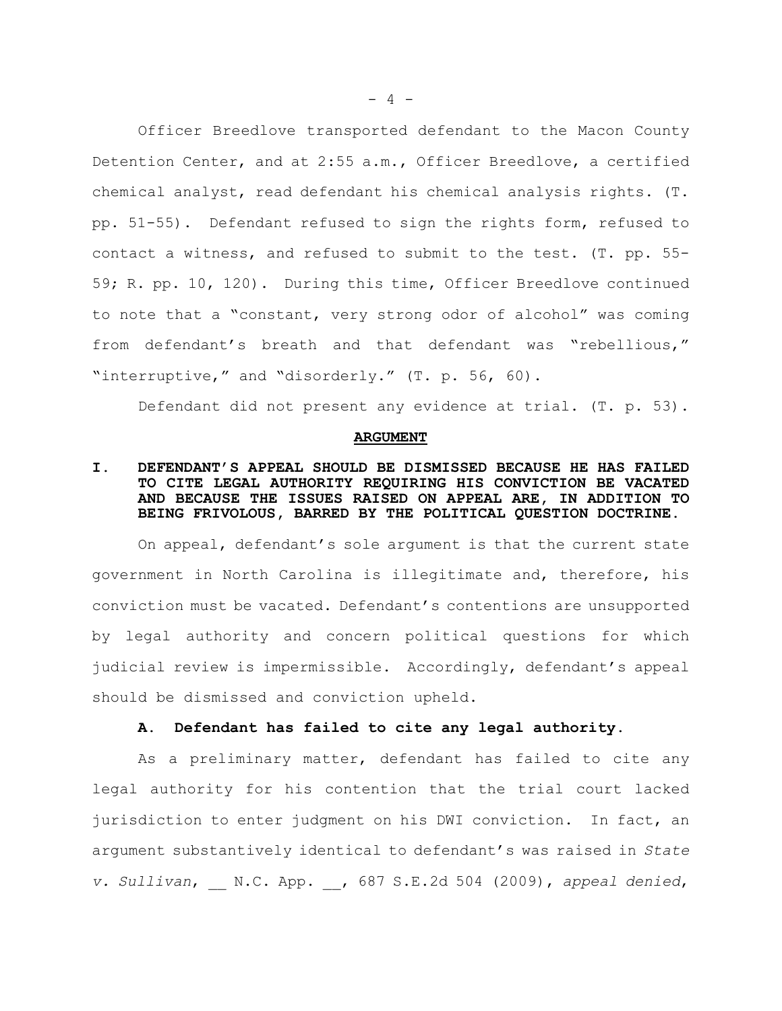Officer Breedlove transported defendant to the Macon County Detention Center, and at 2:55 a.m., Officer Breedlove, a certified chemical analyst, read defendant his chemical analysis rights. (T. pp. 51-55). Defendant refused to sign the rights form, refused to contact a witness, and refused to submit to the test. (T. pp. 55- 59; R. pp. 10, 120). During this time, Officer Breedlove continued to note that a "constant, very strong odor of alcohol" was coming from defendant's breath and that defendant was "rebellious," "interruptive," and "disorderly." (T. p. 56, 60).

Defendant did not present any evidence at trial. (T. p. 53).

#### **ARGUMENT**

## **I. DEFENDANT'S APPEAL SHOULD BE DISMISSED BECAUSE HE HAS FAILED TO CITE LEGAL AUTHORITY REQUIRING HIS CONVICTION BE VACATED AND BECAUSE THE ISSUES RAISED ON APPEAL ARE, IN ADDITION TO BEING FRIVOLOUS, BARRED BY THE POLITICAL QUESTION DOCTRINE.**

On appeal, defendant's sole argument is that the current state government in North Carolina is illegitimate and, therefore, his conviction must be vacated. Defendant's contentions are unsupported by legal authority and concern political questions for which judicial review is impermissible. Accordingly, defendant's appeal should be dismissed and conviction upheld.

## **A. Defendant has failed to cite any legal authority.**

As a preliminary matter, defendant has failed to cite any legal authority for his contention that the trial court lacked jurisdiction to enter judgment on his DWI conviction. In fact, an argument substantively identical to defendant's was raised in *State v. Sullivan*, \_\_ N.C. App. \_\_, 687 S.E.2d 504 (2009), *appeal denied*,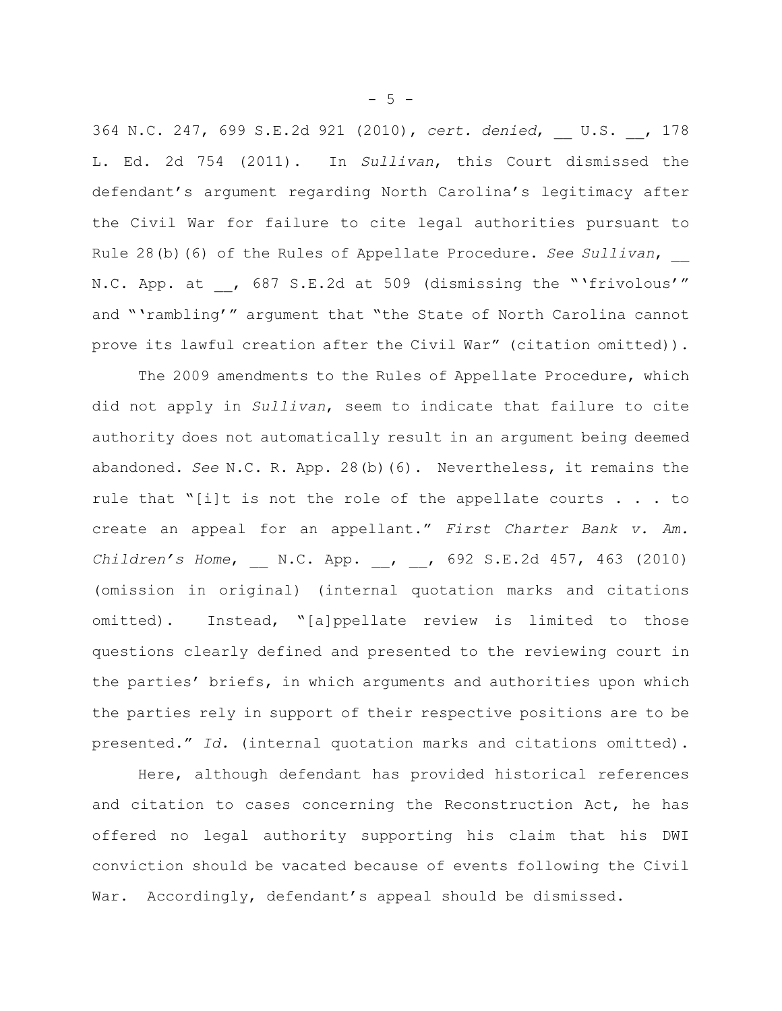364 N.C. 247, 699 S.E.2d 921 (2010), *cert. denied*, \_\_ U.S. \_\_, 178 L. Ed. 2d 754 (2011). In *Sullivan*, this Court dismissed the defendant's argument regarding North Carolina's legitimacy after the Civil War for failure to cite legal authorities pursuant to Rule 28(b)(6) of the Rules of Appellate Procedure. *See Sullivan*, \_\_ N.C. App. at , 687 S.E.2d at 509 (dismissing the "'frivolous'" and "'rambling'" argument that "the State of North Carolina cannot prove its lawful creation after the Civil War" (citation omitted)).

The 2009 amendments to the Rules of Appellate Procedure, which did not apply in *Sullivan*, seem to indicate that failure to cite authority does not automatically result in an argument being deemed abandoned. *See* N.C. R. App. 28(b)(6). Nevertheless, it remains the rule that "[i]t is not the role of the appellate courts . . . to create an appeal for an appellant." *First Charter Bank v. Am. Children's Home*, \_\_ N.C. App. \_\_, \_\_, 692 S.E.2d 457, 463 (2010) (omission in original) (internal quotation marks and citations omitted). Instead, "[a]ppellate review is limited to those questions clearly defined and presented to the reviewing court in the parties' briefs, in which arguments and authorities upon which the parties rely in support of their respective positions are to be presented." *Id.* (internal quotation marks and citations omitted).

Here, although defendant has provided historical references and citation to cases concerning the Reconstruction Act, he has offered no legal authority supporting his claim that his DWI conviction should be vacated because of events following the Civil War. Accordingly, defendant's appeal should be dismissed.

 $-5 -$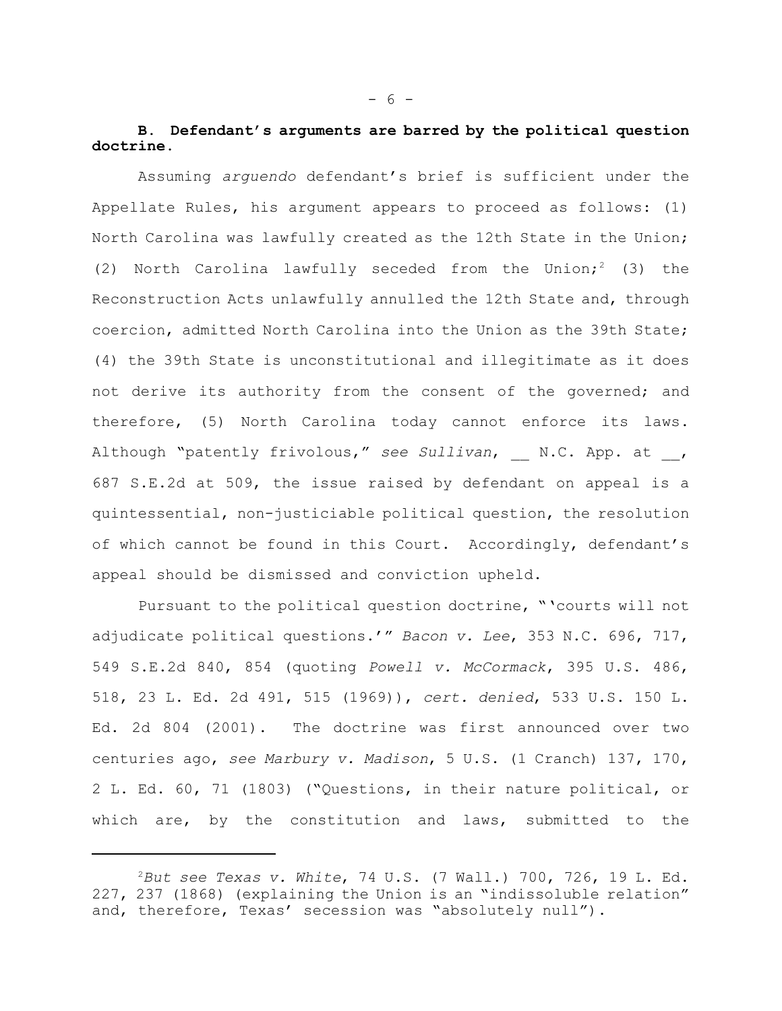## **B. Defendant's arguments are barred by the political question doctrine**.

Assuming *arguendo* defendant's brief is sufficient under the Appellate Rules, his argument appears to proceed as follows: (1) North Carolina was lawfully created as the 12th State in the Union; (2) North Carolina lawfully seceded from the Union;<sup>2</sup> (3) the Reconstruction Acts unlawfully annulled the 12th State and, through coercion, admitted North Carolina into the Union as the 39th State; (4) the 39th State is unconstitutional and illegitimate as it does not derive its authority from the consent of the governed; and therefore, (5) North Carolina today cannot enforce its laws. Although "patently frivolous," see Sullivan, N.C. App. at , 687 S.E.2d at 509, the issue raised by defendant on appeal is a quintessential, non-justiciable political question, the resolution of which cannot be found in this Court. Accordingly, defendant's appeal should be dismissed and conviction upheld.

Pursuant to the political question doctrine, "'courts will not adjudicate political questions.'" *Bacon v. Lee*, 353 N.C. 696, 717, 549 S.E.2d 840, 854 (quoting *Powell v. McCormack*, 395 U.S. 486, 518, 23 L. Ed. 2d 491, 515 (1969)), *cert. denied*, 533 U.S. 150 L. Ed. 2d 804 (2001). The doctrine was first announced over two centuries ago, *see Marbury v. Madison*, 5 U.S. (1 Cranch) 137, 170, 2 L. Ed. 60, 71 (1803) ("Questions, in their nature political, or which are, by the constitution and laws, submitted to the

*But see Texas v. White*, 74 U.S. (7 Wall.) 700, 726, 19 L. Ed. <sup>2</sup> 227, 237 (1868) (explaining the Union is an "indissoluble relation" and, therefore, Texas' secession was "absolutely null").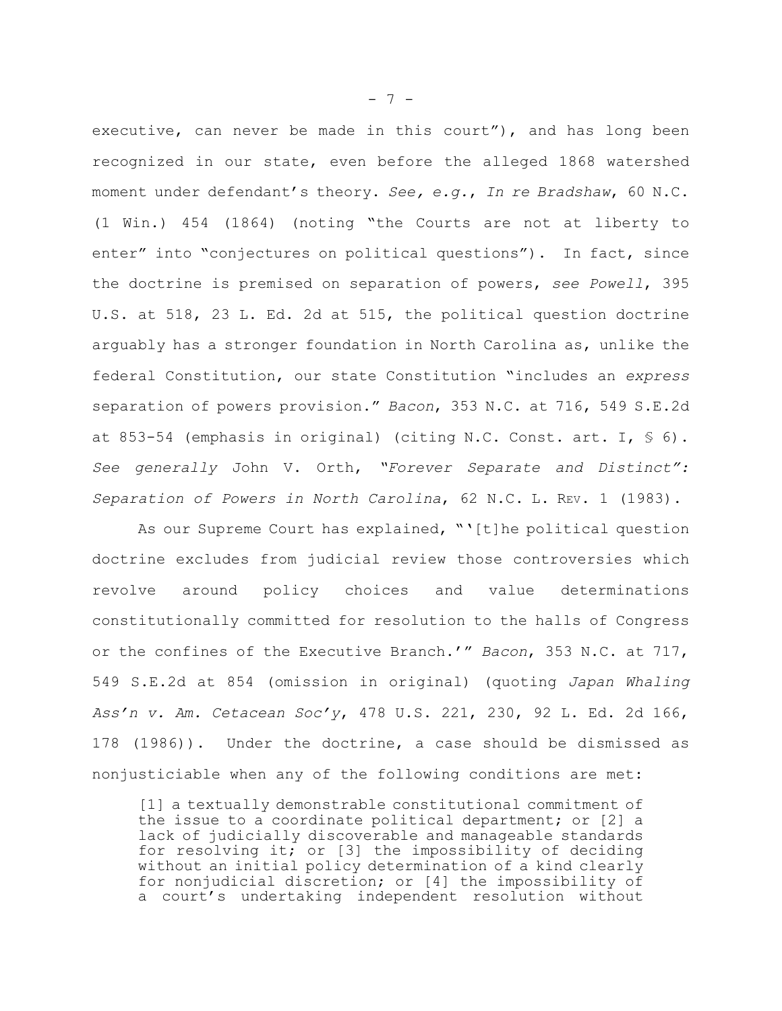executive, can never be made in this court"), and has long been recognized in our state, even before the alleged 1868 watershed moment under defendant's theory. *See, e.g.*, *In re Bradshaw*, 60 N.C. (1 Win.) 454 (1864) (noting "the Courts are not at liberty to enter" into "conjectures on political questions"). In fact, since the doctrine is premised on separation of powers, *see Powell*, 395 U.S. at 518, 23 L. Ed. 2d at 515, the political question doctrine arguably has a stronger foundation in North Carolina as, unlike the federal Constitution, our state Constitution "includes an *express* separation of powers provision." *Bacon*, 353 N.C. at 716, 549 S.E.2d at 853-54 (emphasis in original) (citing N.C. Const. art. I,  $\frac{6}{5}$  6). *See generally* John V. Orth, *"Forever Separate and Distinct": Separation of Powers in North Carolina*, 62 N.C. L. REV. 1 (1983).

As our Supreme Court has explained, "'[t]he political question doctrine excludes from judicial review those controversies which revolve around policy choices and value determinations constitutionally committed for resolution to the halls of Congress or the confines of the Executive Branch.'" *Bacon*, 353 N.C. at 717, 549 S.E.2d at 854 (omission in original) (quoting *Japan Whaling Ass'n v. Am. Cetacean Soc'y*, 478 U.S. 221, 230, 92 L. Ed. 2d 166, 178 (1986)). Under the doctrine, a case should be dismissed as nonjusticiable when any of the following conditions are met:

[1] a textually demonstrable constitutional commitment of the issue to a coordinate political department; or [2] a lack of judicially discoverable and manageable standards for resolving it; or [3] the impossibility of deciding without an initial policy determination of a kind clearly for nonjudicial discretion; or [4] the impossibility of a court's undertaking independent resolution without

- 7 -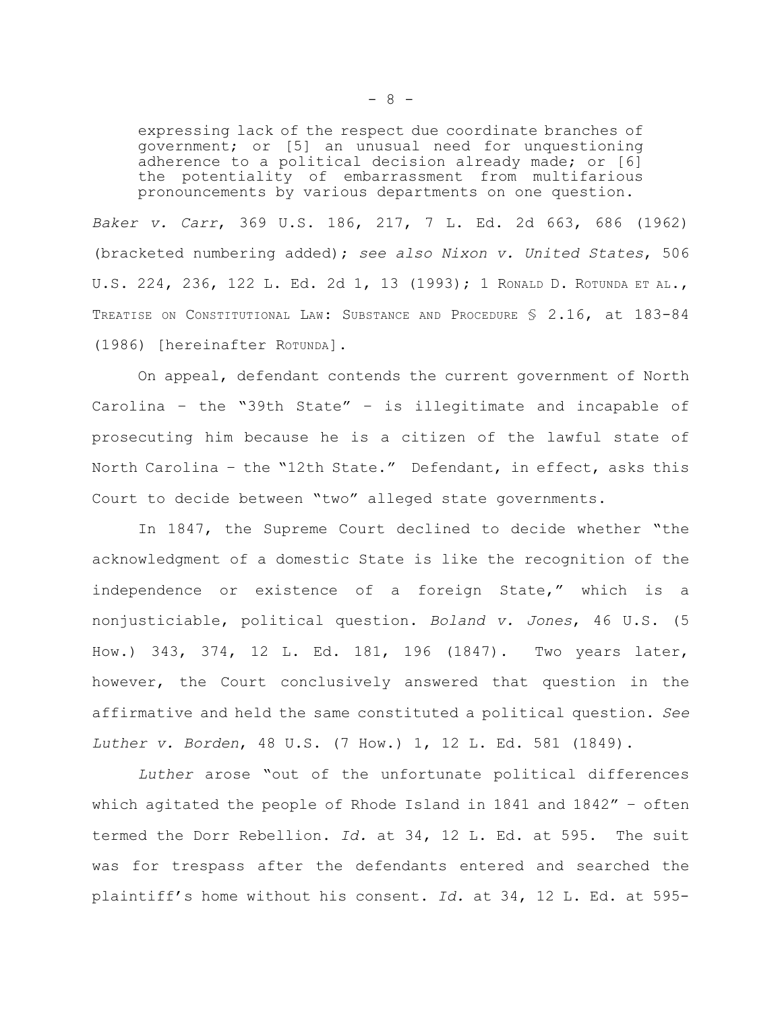expressing lack of the respect due coordinate branches of government; or [5] an unusual need for unquestioning adherence to a political decision already made; or [6] the potentiality of embarrassment from multifarious pronouncements by various departments on one question.

*Baker v. Carr*, 369 U.S. 186, 217, 7 L. Ed. 2d 663, 686 (1962) (bracketed numbering added); *see also Nixon v. United States*, 506 U.S. 224, 236, 122 L. Ed. 2d 1, 13 (1993); 1 RONALD D. ROTUNDA ET AL., TREATISE ON CONSTITUTIONAL LAW: SUBSTANCE AND PROCEDURE § 2.16, at 183-84 (1986) [hereinafter ROTUNDA].

On appeal, defendant contends the current government of North Carolina – the "39th State" – is illegitimate and incapable of prosecuting him because he is a citizen of the lawful state of North Carolina – the "12th State." Defendant, in effect, asks this Court to decide between "two" alleged state governments.

In 1847, the Supreme Court declined to decide whether "the acknowledgment of a domestic State is like the recognition of the independence or existence of a foreign State," which is a nonjusticiable, political question. *Boland v. Jones*, 46 U.S. (5 How.) 343, 374, 12 L. Ed. 181, 196 (1847). Two years later, however, the Court conclusively answered that question in the affirmative and held the same constituted a political question. *See Luther v. Borden*, 48 U.S. (7 How.) 1, 12 L. Ed. 581 (1849).

*Luther* arose "out of the unfortunate political differences which agitated the people of Rhode Island in 1841 and 1842" – often termed the Dorr Rebellion. *Id.* at 34, 12 L. Ed. at 595. The suit was for trespass after the defendants entered and searched the plaintiff's home without his consent. *Id.* at 34, 12 L. Ed. at 595-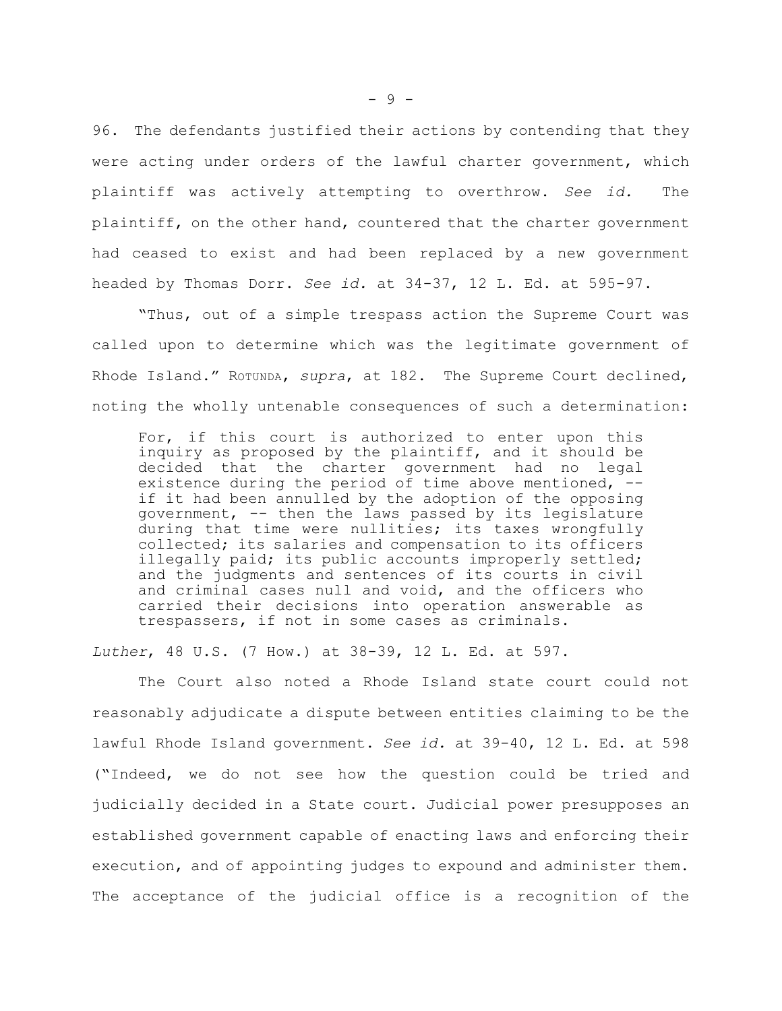96. The defendants justified their actions by contending that they were acting under orders of the lawful charter government, which plaintiff was actively attempting to overthrow. *See id.* The plaintiff, on the other hand, countered that the charter government had ceased to exist and had been replaced by a new government headed by Thomas Dorr. *See id.* at 34-37, 12 L. Ed. at 595-97.

"Thus, out of a simple trespass action the Supreme Court was called upon to determine which was the legitimate government of Rhode Island." ROTUNDA, *supra*, at 182. The Supreme Court declined, noting the wholly untenable consequences of such a determination:

For, if this court is authorized to enter upon this inquiry as proposed by the plaintiff, and it should be decided that the charter government had no legal existence during the period of time above mentioned, - if it had been annulled by the adoption of the opposing government, -- then the laws passed by its legislature during that time were nullities; its taxes wrongfully collected; its salaries and compensation to its officers illegally paid; its public accounts improperly settled; and the judgments and sentences of its courts in civil and criminal cases null and void, and the officers who carried their decisions into operation answerable as trespassers, if not in some cases as criminals.

*Luther*, 48 U.S. (7 How.) at 38-39, 12 L. Ed. at 597.

The Court also noted a Rhode Island state court could not reasonably adjudicate a dispute between entities claiming to be the lawful Rhode Island government. *See id.* at 39-40, 12 L. Ed. at 598 ("Indeed, we do not see how the question could be tried and judicially decided in a State court. Judicial power presupposes an established government capable of enacting laws and enforcing their execution, and of appointing judges to expound and administer them. The acceptance of the judicial office is a recognition of the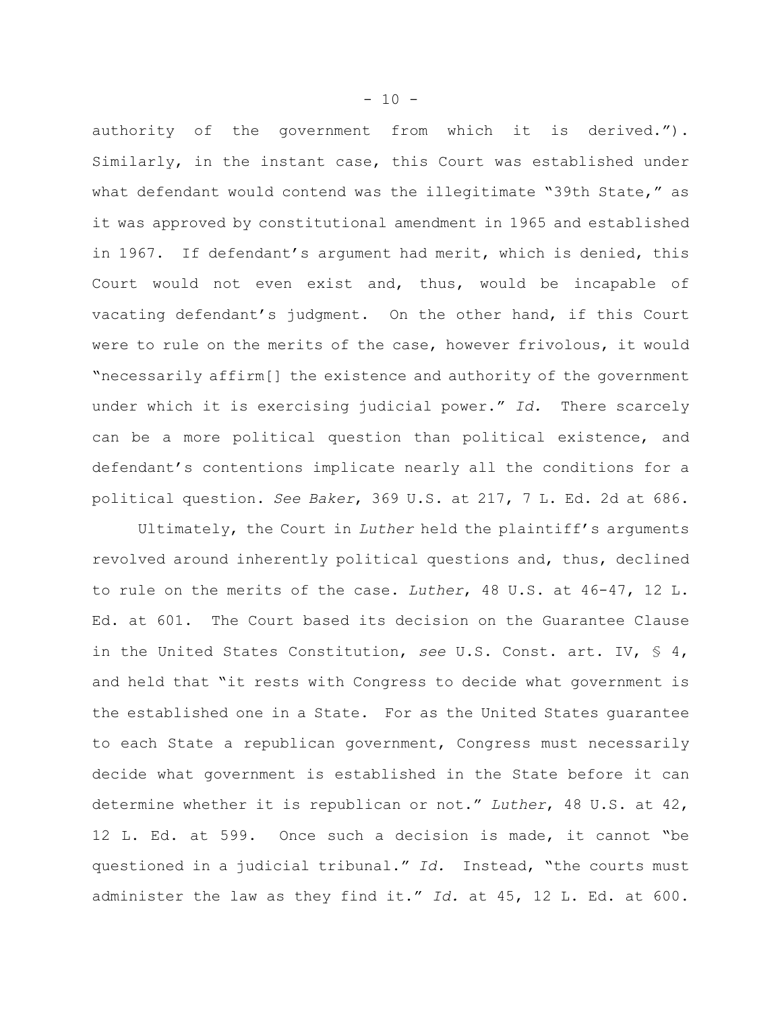authority of the government from which it is derived."). Similarly, in the instant case, this Court was established under what defendant would contend was the illegitimate "39th State," as it was approved by constitutional amendment in 1965 and established in 1967. If defendant's argument had merit, which is denied, this Court would not even exist and, thus, would be incapable of vacating defendant's judgment. On the other hand, if this Court were to rule on the merits of the case, however frivolous, it would "necessarily affirm[] the existence and authority of the government under which it is exercising judicial power." *Id.* There scarcely can be a more political question than political existence, and defendant's contentions implicate nearly all the conditions for a political question. *See Baker*, 369 U.S. at 217, 7 L. Ed. 2d at 686.

Ultimately, the Court in *Luther* held the plaintiff's arguments revolved around inherently political questions and, thus, declined to rule on the merits of the case. *Luther*, 48 U.S. at 46-47, 12 L. Ed. at 601. The Court based its decision on the Guarantee Clause in the United States Constitution, *see* U.S. Const. art. IV, § 4, and held that "it rests with Congress to decide what government is the established one in a State. For as the United States guarantee to each State a republican government, Congress must necessarily decide what government is established in the State before it can determine whether it is republican or not." *Luther*, 48 U.S. at 42, 12 L. Ed. at 599. Once such a decision is made, it cannot "be questioned in a judicial tribunal." *Id.* Instead, "the courts must administer the law as they find it." *Id.* at 45, 12 L. Ed. at 600.

- 10 -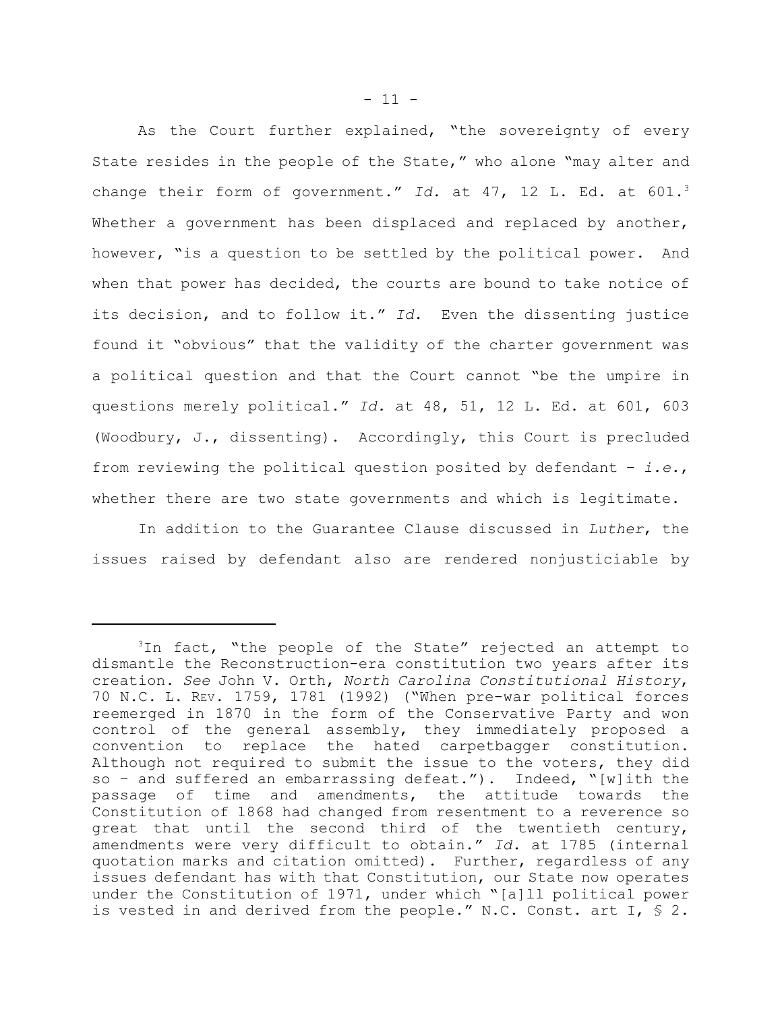As the Court further explained, "the sovereignty of every State resides in the people of the State," who alone "may alter and change their form of government." *Id.* at 47, 12 L. Ed. at 601.<sup>3</sup> Whether a government has been displaced and replaced by another, however, "is a question to be settled by the political power. And when that power has decided, the courts are bound to take notice of its decision, and to follow it." *Id.* Even the dissenting justice found it "obvious" that the validity of the charter government was a political question and that the Court cannot "be the umpire in questions merely political." *Id.* at 48, 51, 12 L. Ed. at 601, 603 (Woodbury, J., dissenting). Accordingly, this Court is precluded from reviewing the political question posited by defendant – *i.e.*, whether there are two state governments and which is legitimate.

In addition to the Guarantee Clause discussed in *Luther*, the issues raised by defendant also are rendered nonjusticiable by

 $3$ In fact, "the people of the State" rejected an attempt to dismantle the Reconstruction-era constitution two years after its creation. *See* John V. Orth, *North Carolina Constitutional History*, 70 N.C. L. REV. 1759, 1781 (1992) ("When pre-war political forces reemerged in 1870 in the form of the Conservative Party and won control of the general assembly, they immediately proposed a convention to replace the hated carpetbagger constitution. Although not required to submit the issue to the voters, they did so – and suffered an embarrassing defeat."). Indeed, "[w]ith the passage of time and amendments, the attitude towards the Constitution of 1868 had changed from resentment to a reverence so great that until the second third of the twentieth century, amendments were very difficult to obtain." *Id.* at 1785 (internal quotation marks and citation omitted). Further, regardless of any issues defendant has with that Constitution, our State now operates under the Constitution of 1971, under which "[a]ll political power is vested in and derived from the people." N.C. Const. art I,  $\frac{1}{5}$  2.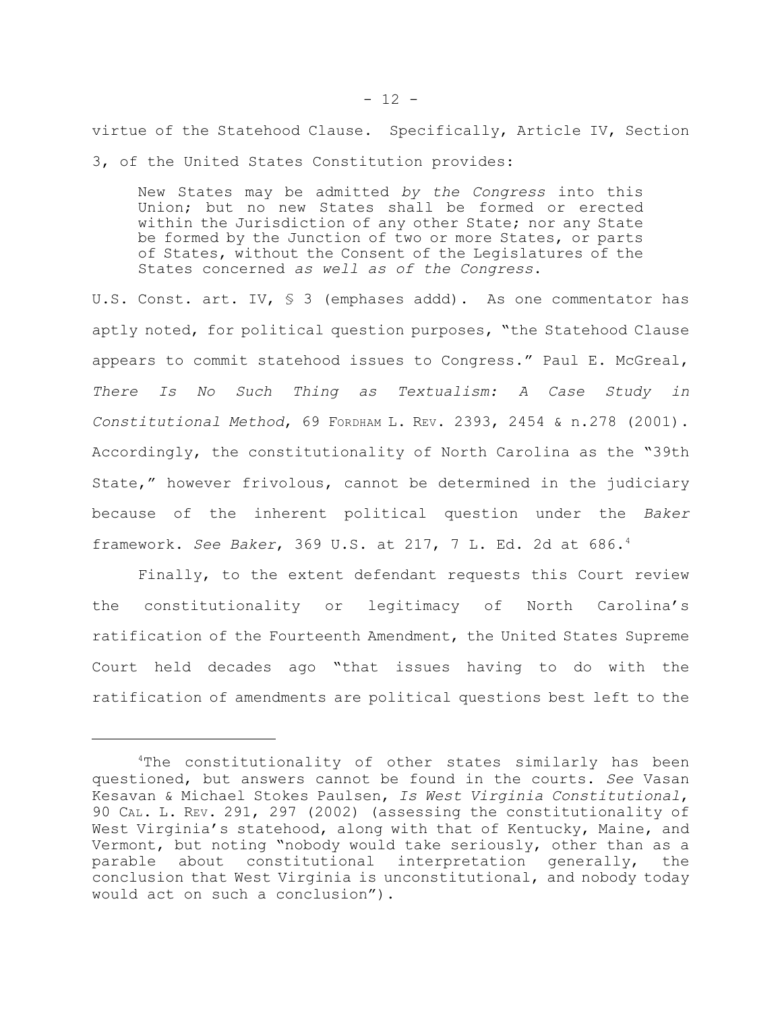virtue of the Statehood Clause. Specifically, Article IV, Section 3, of the United States Constitution provides:

New States may be admitted *by the Congress* into this Union; but no new States shall be formed or erected within the Jurisdiction of any other State; nor any State be formed by the Junction of two or more States, or parts of States, without the Consent of the Legislatures of the States concerned *as well as of the Congress*.

U.S. Const. art. IV,  $\frac{1}{5}$  3 (emphases addd). As one commentator has aptly noted, for political question purposes, "the Statehood Clause appears to commit statehood issues to Congress." Paul E. McGreal, *There Is No Such Thing as Textualism: A Case Study in Constitutional Method*, 69 FORDHAM L. REV. 2393, 2454 & n.278 (2001). Accordingly, the constitutionality of North Carolina as the "39th State," however frivolous, cannot be determined in the judiciary because of the inherent political question under the *Baker* framework. *See Baker*, 369 U.S. at 217, 7 L. Ed. 2d at 686.<sup>4</sup>

Finally, to the extent defendant requests this Court review the constitutionality or legitimacy of North Carolina's ratification of the Fourteenth Amendment, the United States Supreme Court held decades ago "that issues having to do with the ratification of amendments are political questions best left to the

<sup>&</sup>lt;sup>4</sup>The constitutionality of other states similarly has been questioned, but answers cannot be found in the courts. *See* Vasan Kesavan & Michael Stokes Paulsen, *Is West Virginia Constitutional*, 90 CAL. L. REV. 291, 297 (2002) (assessing the constitutionality of West Virginia's statehood, along with that of Kentucky, Maine, and Vermont, but noting "nobody would take seriously, other than as a parable about constitutional interpretation generally, the conclusion that West Virginia is unconstitutional, and nobody today would act on such a conclusion").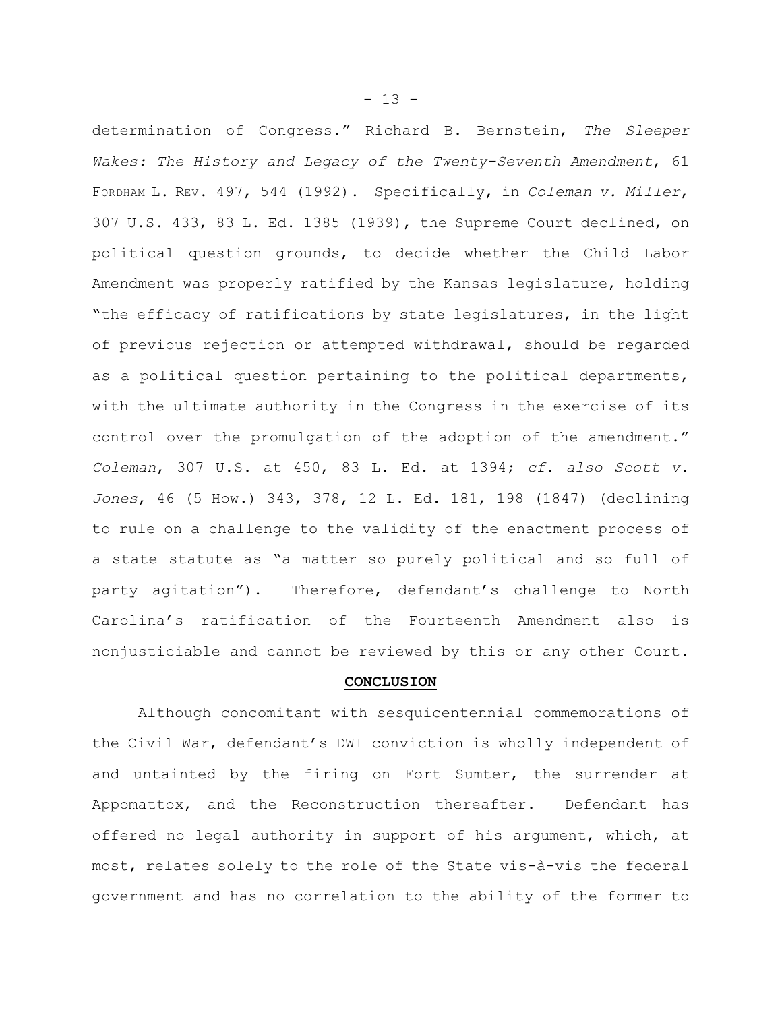determination of Congress." Richard B. Bernstein, *The Sleeper Wakes: The History and Legacy of the Twenty-Seventh Amendment*, 61 FORDHAM L. REV. 497, 544 (1992). Specifically, in *Coleman v. Miller*, 307 U.S. 433, 83 L. Ed. 1385 (1939), the Supreme Court declined, on political question grounds, to decide whether the Child Labor Amendment was properly ratified by the Kansas legislature, holding "the efficacy of ratifications by state legislatures, in the light of previous rejection or attempted withdrawal, should be regarded as a political question pertaining to the political departments, with the ultimate authority in the Congress in the exercise of its control over the promulgation of the adoption of the amendment." *Coleman*, 307 U.S. at 450, 83 L. Ed. at 1394; *cf. also Scott v. Jones*, 46 (5 How.) 343, 378, 12 L. Ed. 181, 198 (1847) (declining to rule on a challenge to the validity of the enactment process of a state statute as "a matter so purely political and so full of party agitation"). Therefore, defendant's challenge to North Carolina's ratification of the Fourteenth Amendment also is nonjusticiable and cannot be reviewed by this or any other Court.

## **CONCLUSION**

Although concomitant with sesquicentennial commemorations of the Civil War, defendant's DWI conviction is wholly independent of and untainted by the firing on Fort Sumter, the surrender at Appomattox, and the Reconstruction thereafter. Defendant has offered no legal authority in support of his argument, which, at most, relates solely to the role of the State vis-à-vis the federal government and has no correlation to the ability of the former to

- 13 -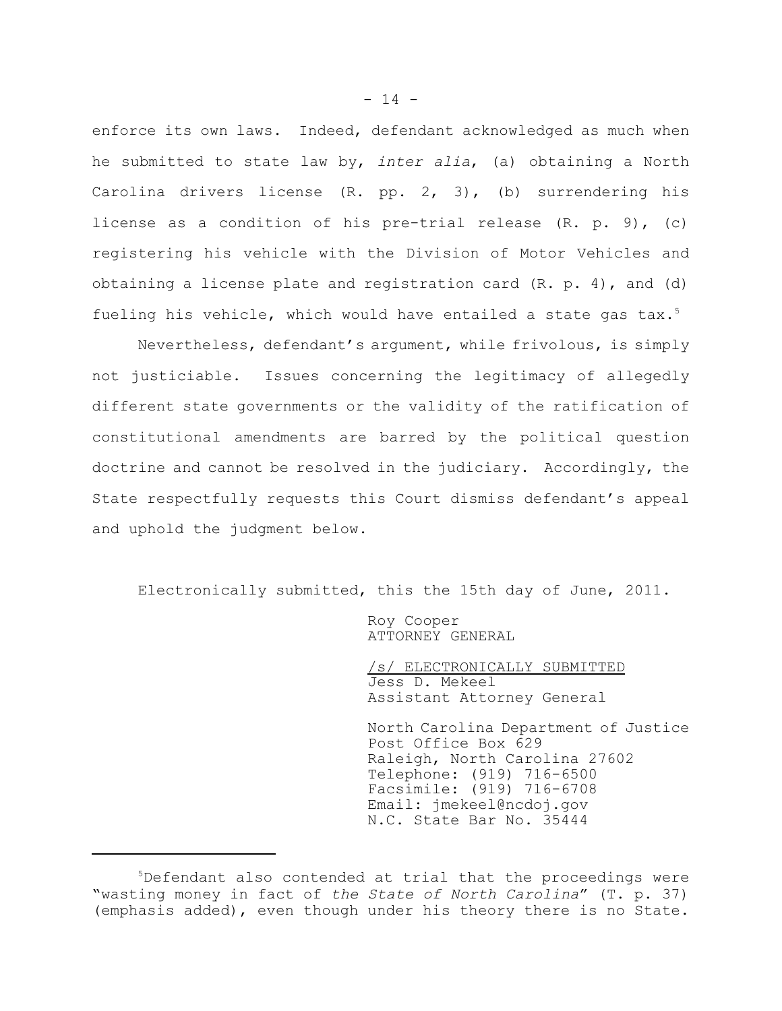enforce its own laws. Indeed, defendant acknowledged as much when he submitted to state law by, *inter alia*, (a) obtaining a North Carolina drivers license (R. pp. 2, 3), (b) surrendering his license as a condition of his pre-trial release (R. p. 9), (c) registering his vehicle with the Division of Motor Vehicles and obtaining a license plate and registration card  $(R. p. 4)$ , and  $(d)$ fueling his vehicle, which would have entailed a state gas tax.<sup>5</sup>

Nevertheless, defendant's argument, while frivolous, is simply not justiciable. Issues concerning the legitimacy of allegedly different state governments or the validity of the ratification of constitutional amendments are barred by the political question doctrine and cannot be resolved in the judiciary. Accordingly, the State respectfully requests this Court dismiss defendant's appeal and uphold the judgment below.

Electronically submitted, this the 15th day of June, 2011.

Roy Cooper ATTORNEY GENERAL

/s/ ELECTRONICALLY SUBMITTED Jess D. Mekeel Assistant Attorney General

North Carolina Department of Justice Post Office Box 629 Raleigh, North Carolina 27602 Telephone: (919) 716-6500 Facsimile: (919) 716-6708 Email: jmekeel@ncdoj.gov N.C. State Bar No. 35444

 $5$ Defendant also contended at trial that the proceedings were "wasting money in fact of *the State of North Carolina*" (T. p. 37) (emphasis added), even though under his theory there is no State.